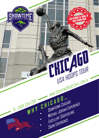